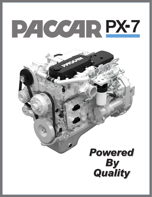# PACCAR PX-7

Jie on

# **Powered By<br>Quality**